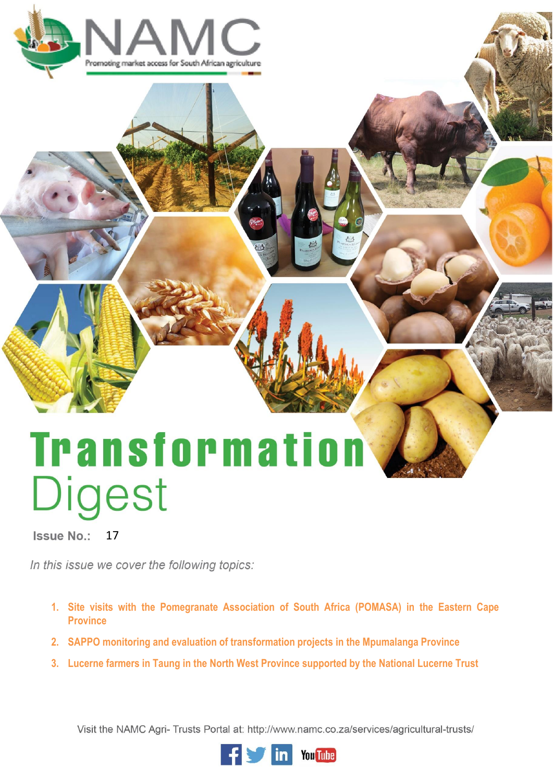

# **Transformation** Digest

Issue No.: 17

In this issue we cover the following topics:

- **1. Site visits with the Pomegranate Association of South Africa (POMASA) in the Eastern Cape Province**
- **2. SAPPO monitoring and evaluation of transformation projects in the Mpumalanga Province**
- **3. Lucerne farmers in Taung in the North West Province supported by the National Lucerne Trust**

Visit the NAMC Agri- Trusts Portal at: http://www.namc.co.za/services/agricultural-trusts/

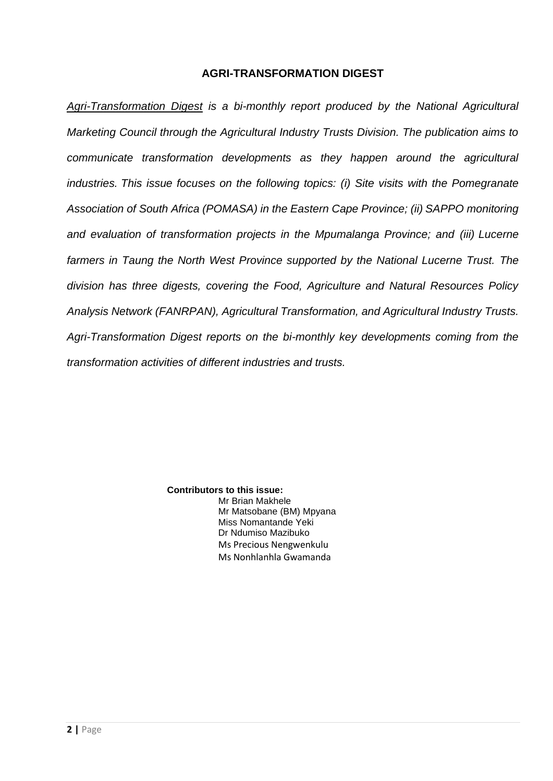# **AGRI-TRANSFORMATION DIGEST**

*Agri-Transformation Digest is a bi-monthly report produced by the National Agricultural Marketing Council through the Agricultural Industry Trusts Division. The publication aims to communicate transformation developments as they happen around the agricultural industries. This issue focuses on the following topics: (i) Site visits with the Pomegranate Association of South Africa (POMASA) in the Eastern Cape Province; (ii) SAPPO monitoring and evaluation of transformation projects in the Mpumalanga Province; and (iii) Lucerne farmers in Taung the North West Province supported by the National Lucerne Trust. The division has three digests, covering the Food, Agriculture and Natural Resources Policy Analysis Network (FANRPAN), Agricultural Transformation, and Agricultural Industry Trusts. Agri-Transformation Digest reports on the bi-monthly key developments coming from the transformation activities of different industries and trusts.*

> **Contributors to this issue:** Mr Brian Makhele Mr Matsobane (BM) Mpyana Miss Nomantande Yeki Dr Ndumiso Mazibuko Ms Precious Nengwenkulu Ms Nonhlanhla Gwamanda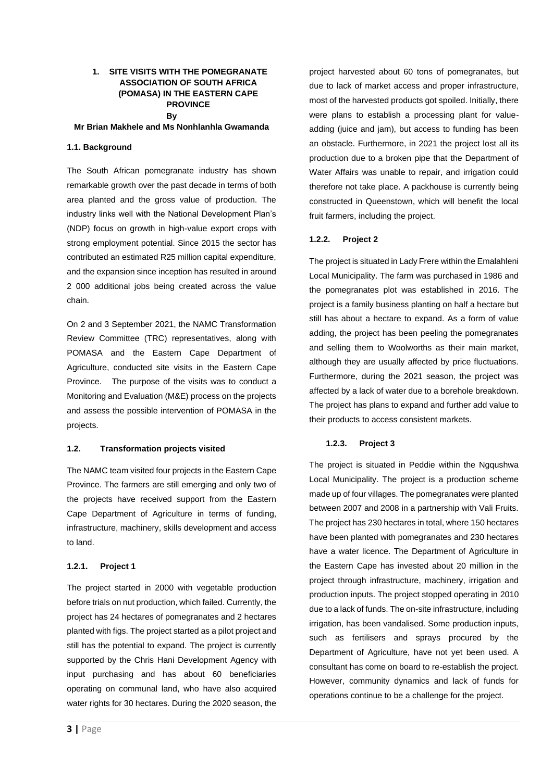# **1. SITE VISITS WITH THE POMEGRANATE ASSOCIATION OF SOUTH AFRICA (POMASA) IN THE EASTERN CAPE PROVINCE By**

#### **Mr Brian Makhele and Ms Nonhlanhla Gwamanda**

### **1.1. Background**

The South African pomegranate industry has shown remarkable growth over the past decade in terms of both area planted and the gross value of production. The industry links well with the National Development Plan's (NDP) focus on growth in high-value export crops with strong employment potential. Since 2015 the sector has contributed an estimated R25 million capital expenditure, and the expansion since inception has resulted in around 2 000 additional jobs being created across the value chain.

On 2 and 3 September 2021, the NAMC Transformation Review Committee (TRC) representatives, along with POMASA and the Eastern Cape Department of Agriculture, conducted site visits in the Eastern Cape Province. The purpose of the visits was to conduct a Monitoring and Evaluation (M&E) process on the projects and assess the possible intervention of POMASA in the projects.

#### **1.2. Transformation projects visited**

The NAMC team visited four projects in the Eastern Cape Province. The farmers are still emerging and only two of the projects have received support from the Eastern Cape Department of Agriculture in terms of funding, infrastructure, machinery, skills development and access to land.

#### **1.2.1. Project 1**

The project started in 2000 with vegetable production before trials on nut production, which failed. Currently, the project has 24 hectares of pomegranates and 2 hectares planted with figs. The project started as a pilot project and still has the potential to expand. The project is currently supported by the Chris Hani Development Agency with input purchasing and has about 60 beneficiaries operating on communal land, who have also acquired water rights for 30 hectares. During the 2020 season, the

project harvested about 60 tons of pomegranates, but due to lack of market access and proper infrastructure, most of the harvested products got spoiled. Initially, there were plans to establish a processing plant for valueadding (juice and jam), but access to funding has been an obstacle. Furthermore, in 2021 the project lost all its production due to a broken pipe that the Department of Water Affairs was unable to repair, and irrigation could therefore not take place. A packhouse is currently being constructed in Queenstown, which will benefit the local fruit farmers, including the project.

## **1.2.2. Project 2**

The project is situated in Lady Frere within the Emalahleni Local Municipality. The farm was purchased in 1986 and the pomegranates plot was established in 2016. The project is a family business planting on half a hectare but still has about a hectare to expand. As a form of value adding, the project has been peeling the pomegranates and selling them to Woolworths as their main market, although they are usually affected by price fluctuations. Furthermore, during the 2021 season, the project was affected by a lack of water due to a borehole breakdown. The project has plans to expand and further add value to their products to access consistent markets.

## **1.2.3. Project 3**

The project is situated in Peddie within the Ngqushwa Local Municipality. The project is a production scheme made up of four villages. The pomegranates were planted between 2007 and 2008 in a partnership with Vali Fruits. The project has 230 hectares in total, where 150 hectares have been planted with pomegranates and 230 hectares have a water licence. The Department of Agriculture in the Eastern Cape has invested about 20 million in the project through infrastructure, machinery, irrigation and production inputs. The project stopped operating in 2010 due to a lack of funds. The on-site infrastructure, including irrigation, has been vandalised. Some production inputs, such as fertilisers and sprays procured by the Department of Agriculture, have not yet been used. A consultant has come on board to re-establish the project. However, community dynamics and lack of funds for operations continue to be a challenge for the project.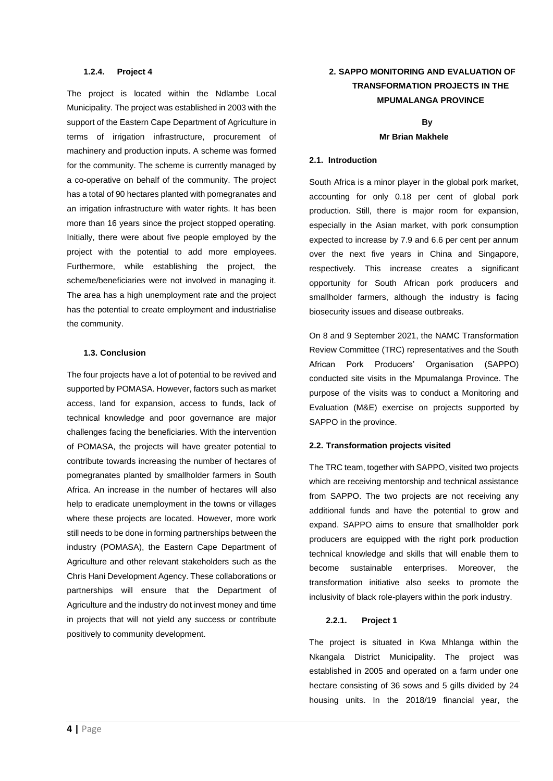#### **1.2.4. Project 4**

The project is located within the Ndlambe Local Municipality. The project was established in 2003 with the support of the Eastern Cape Department of Agriculture in terms of irrigation infrastructure, procurement of machinery and production inputs. A scheme was formed for the community. The scheme is currently managed by a co-operative on behalf of the community. The project has a total of 90 hectares planted with pomegranates and an irrigation infrastructure with water rights. It has been more than 16 years since the project stopped operating. Initially, there were about five people employed by the project with the potential to add more employees. Furthermore, while establishing the project, the scheme/beneficiaries were not involved in managing it. The area has a high unemployment rate and the project has the potential to create employment and industrialise the community.

### **1.3. Conclusion**

The four projects have a lot of potential to be revived and supported by POMASA. However, factors such as market access, land for expansion, access to funds, lack of technical knowledge and poor governance are major challenges facing the beneficiaries. With the intervention of POMASA, the projects will have greater potential to contribute towards increasing the number of hectares of pomegranates planted by smallholder farmers in South Africa. An increase in the number of hectares will also help to eradicate unemployment in the towns or villages where these projects are located. However, more work still needs to be done in forming partnerships between the industry (POMASA), the Eastern Cape Department of Agriculture and other relevant stakeholders such as the Chris Hani Development Agency. These collaborations or partnerships will ensure that the Department of Agriculture and the industry do not invest money and time in projects that will not yield any success or contribute positively to community development.

# **2. SAPPO MONITORING AND EVALUATION OF TRANSFORMATION PROJECTS IN THE MPUMALANGA PROVINCE**

# **By Mr Brian Makhele**

# **2.1. Introduction**

South Africa is a minor player in the global pork market, accounting for only 0.18 per cent of global pork production. Still, there is major room for expansion, especially in the Asian market, with pork consumption expected to increase by 7.9 and 6.6 per cent per annum over the next five years in China and Singapore, respectively. This increase creates a significant opportunity for South African pork producers and smallholder farmers, although the industry is facing biosecurity issues and disease outbreaks.

On 8 and 9 September 2021, the NAMC Transformation Review Committee (TRC) representatives and the South African Pork Producers' Organisation (SAPPO) conducted site visits in the Mpumalanga Province. The purpose of the visits was to conduct a Monitoring and Evaluation (M&E) exercise on projects supported by SAPPO in the province.

#### **2.2. Transformation projects visited**

The TRC team, together with SAPPO, visited two projects which are receiving mentorship and technical assistance from SAPPO. The two projects are not receiving any additional funds and have the potential to grow and expand. SAPPO aims to ensure that smallholder pork producers are equipped with the right pork production technical knowledge and skills that will enable them to become sustainable enterprises. Moreover, the transformation initiative also seeks to promote the inclusivity of black role-players within the pork industry.

#### **2.2.1. Project 1**

The project is situated in Kwa Mhlanga within the Nkangala District Municipality. The project was established in 2005 and operated on a farm under one hectare consisting of 36 sows and 5 gills divided by 24 housing units. In the 2018/19 financial year, the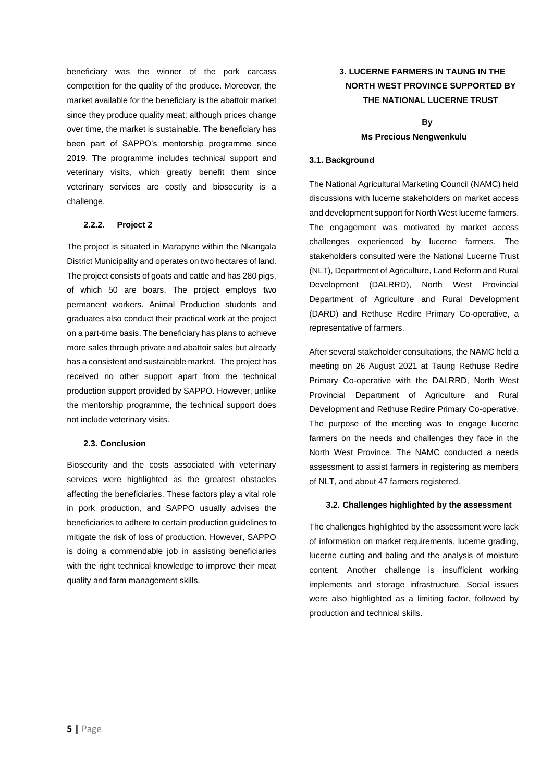beneficiary was the winner of the pork carcass competition for the quality of the produce. Moreover, the market available for the beneficiary is the abattoir market since they produce quality meat; although prices change over time, the market is sustainable. The beneficiary has been part of SAPPO's mentorship programme since 2019. The programme includes technical support and veterinary visits, which greatly benefit them since veterinary services are costly and biosecurity is a challenge.

# **2.2.2. Project 2**

The project is situated in Marapyne within the Nkangala District Municipality and operates on two hectares of land. The project consists of goats and cattle and has 280 pigs, of which 50 are boars. The project employs two permanent workers. Animal Production students and graduates also conduct their practical work at the project on a part-time basis. The beneficiary has plans to achieve more sales through private and abattoir sales but already has a consistent and sustainable market. The project has received no other support apart from the technical production support provided by SAPPO. However, unlike the mentorship programme, the technical support does not include veterinary visits.

# **2.3. Conclusion**

Biosecurity and the costs associated with veterinary services were highlighted as the greatest obstacles affecting the beneficiaries. These factors play a vital role in pork production, and SAPPO usually advises the beneficiaries to adhere to certain production guidelines to mitigate the risk of loss of production. However, SAPPO is doing a commendable job in assisting beneficiaries with the right technical knowledge to improve their meat quality and farm management skills.

# **3. LUCERNE FARMERS IN TAUNG IN THE NORTH WEST PROVINCE SUPPORTED BY THE NATIONAL LUCERNE TRUST**

# **By Ms Precious Nengwenkulu**

### **3.1. Background**

The National Agricultural Marketing Council (NAMC) held discussions with lucerne stakeholders on market access and development support for North West lucerne farmers. The engagement was motivated by market access challenges experienced by lucerne farmers. The stakeholders consulted were the National Lucerne Trust (NLT), Department of Agriculture, Land Reform and Rural Development (DALRRD), North West Provincial Department of Agriculture and Rural Development (DARD) and Rethuse Redire Primary Co-operative, a representative of farmers.

After several stakeholder consultations, the NAMC held a meeting on 26 August 2021 at Taung Rethuse Redire Primary Co-operative with the DALRRD, North West Provincial Department of Agriculture and Rural Development and Rethuse Redire Primary Co-operative. The purpose of the meeting was to engage lucerne farmers on the needs and challenges they face in the North West Province. The NAMC conducted a needs assessment to assist farmers in registering as members of NLT, and about 47 farmers registered.

#### **3.2. Challenges highlighted by the assessment**

The challenges highlighted by the assessment were lack of information on market requirements, lucerne grading, lucerne cutting and baling and the analysis of moisture content. Another challenge is insufficient working implements and storage infrastructure. Social issues were also highlighted as a limiting factor, followed by production and technical skills.